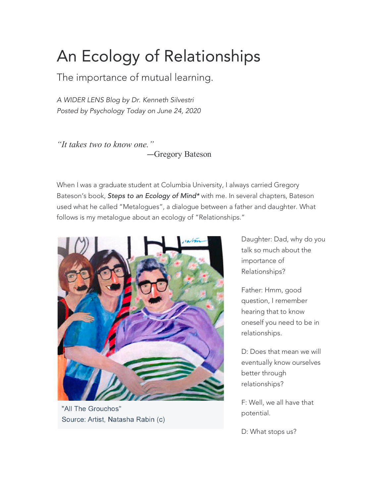## An Ecology of Relationships

The importance of mutual learning.

*A WIDER LENS Blog by Dr. Kenneth Silvestri Posted by Psychology Today on June 24, 2020*

*"It takes two to know one."* —Gregory Bateson

When I was a graduate student at Columbia University, I always carried Gregory Bateson's book, *Steps to an Ecology of Mind\** with me. In several chapters, Bateson used what he called "Metalogues", a dialogue between a father and daughter. What follows is my metalogue about an ecology of "Relationships."



"All The Grouchos" Source: Artist, Natasha Rabin (c)

Daughter: Dad, why do you talk so much about the importance of Relationships?

Father: Hmm, good question, I remember hearing that to know oneself you need to be in relationships.

D: Does that mean we will eventually know ourselves better through relationships?

F: Well, we all have that potential.

D: What stops us?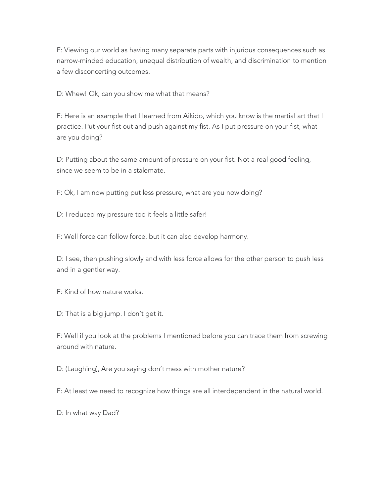F: Viewing our world as having many separate parts with injurious consequences such as narrow-minded education, unequal distribution of wealth, and discrimination to mention a few disconcerting outcomes.

D: Whew! Ok, can you show me what that means?

F: Here is an example that I learned from Aikido, which you know is the martial art that I practice. Put your fist out and push against my fist. As I put pressure on your fist, what are you doing?

D: Putting about the same amount of pressure on your fist. Not a real good feeling, since we seem to be in a stalemate.

F: Ok, I am now putting put less pressure, what are you now doing?

D: I reduced my pressure too it feels a little safer!

F: Well force can follow force, but it can also develop harmony.

D: I see, then pushing slowly and with less force allows for the other person to push less and in a gentler way.

F: Kind of how nature works.

D: That is a big jump. I don't get it.

F: Well if you look at the problems I mentioned before you can trace them from screwing around with nature.

D: (Laughing), Are you saying don't mess with mother nature?

F: At least we need to recognize how things are all interdependent in the natural world.

D: In what way Dad?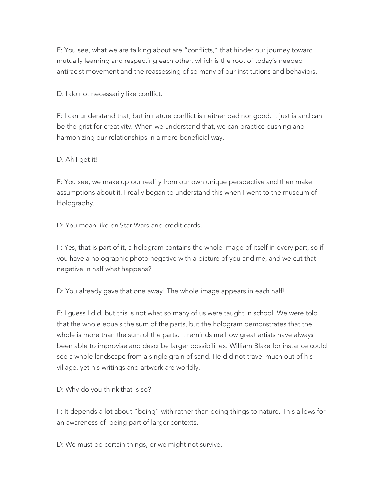F: You see, what we are talking about are "conflicts," that hinder our journey toward mutually learning and respecting each other, which is the root of today's needed antiracist movement and the reassessing of so many of our institutions and behaviors.

D: I do not necessarily like conflict.

F: I can understand that, but in nature conflict is neither bad nor good. It just is and can be the grist for creativity. When we understand that, we can practice pushing and harmonizing our relationships in a more beneficial way.

D. Ah I get it!

F: You see, we make up our reality from our own unique perspective and then make assumptions about it. I really began to understand this when I went to the museum of Holography.

D: You mean like on Star Wars and credit cards.

F: Yes, that is part of it, a hologram contains the whole image of itself in every part, so if you have a holographic photo negative with a picture of you and me, and we cut that negative in half what happens?

D: You already gave that one away! The whole image appears in each half!

F: I guess I did, but this is not what so many of us were taught in school. We were told that the whole equals the sum of the parts, but the hologram demonstrates that the whole is more than the sum of the parts. It reminds me how great artists have always been able to improvise and describe larger possibilities. William Blake for instance could see a whole landscape from a single grain of sand. He did not travel much out of his village, yet his writings and artwork are worldly.

D: Why do you think that is so?

F: It depends a lot about "being" with rather than doing things to nature. This allows for an awareness of being part of larger contexts.

D: We must do certain things, or we might not survive.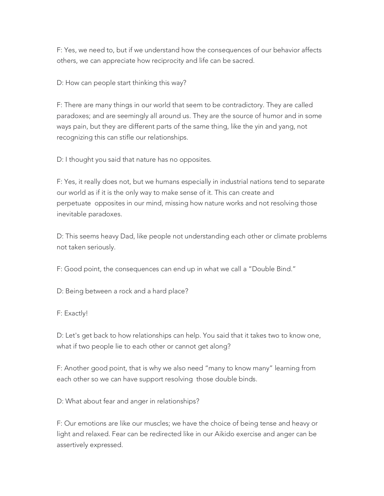F: Yes, we need to, but if we understand how the consequences of our behavior affects others, we can appreciate how reciprocity and life can be sacred.

D: How can people start thinking this way?

F: There are many things in our world that seem to be contradictory. They are called paradoxes; and are seemingly all around us. They are the source of humor and in some ways pain, but they are different parts of the same thing, like the yin and yang, not recognizing this can stifle our relationships.

D: I thought you said that nature has no opposites.

F: Yes, it really does not, but we humans especially in industrial nations tend to separate our world as if it is the only way to make sense of it. This can create and perpetuate opposites in our mind, missing how nature works and not resolving those inevitable paradoxes.

D: This seems heavy Dad, like people not understanding each other or climate problems not taken seriously.

F: Good point, the consequences can end up in what we call a "Double Bind."

D: Being between a rock and a hard place?

F: Exactly!

D: Let's get back to how relationships can help. You said that it takes two to know one, what if two people lie to each other or cannot get along?

F: Another good point, that is why we also need "many to know many" learning from each other so we can have support resolving those double binds.

D: What about fear and anger in relationships?

F: Our emotions are like our muscles; we have the choice of being tense and heavy or light and relaxed. Fear can be redirected like in our Aikido exercise and anger can be assertively expressed.